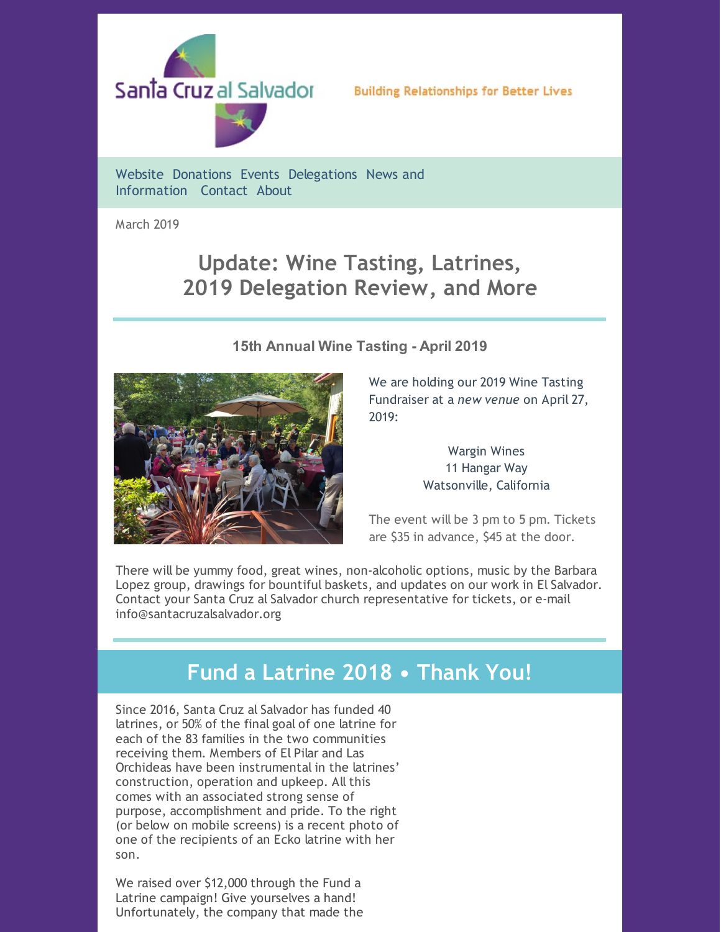

### **Building Relationships for Better Lives**

[Website](http://www.santacruzalsalvador.org/) [Donations](http://www.santacruzalsalvador.org/donations/) [Events](http://www.santacruzalsalvador.org/events/) [Delegations](http://www.santacruzalsalvador.org/delegations/) News and [Information](http://www.santacruzalsalvador.org/news-and-information/) [Contact](http://www.santacruzalsalvador.org/contact/) [About](http://www.santacruzalsalvador.org/home/about/)

March 2019

# **Update: Wine Tasting, Latrines, 2019 Delegation Review, and More**

## **15th Annual Wine Tasting - April 2019**



We are holding our 2019 Wine Tasting Fundraiser at a *new venue* on April 27, 2019:

> Wargin Wines 11 Hangar Way Watsonville, California

The event will be 3 pm to 5 pm. Tickets are \$35 in advance, \$45 at the door.

There will be yummy food, great wines, non-alcoholic options, music by the Barbara Lopez group, drawings for bountiful baskets, and updates on our work in El Salvador. Contact your Santa Cruz al Salvador church representative for tickets, or e-mail info@santacruzalsalvador.org

## **Fund a Latrine 2018 • Thank You!**

Since 2016, Santa Cruz al Salvador has funded 40 latrines, or 50% of the final goal of one latrine for each of the 83 families in the two communities receiving them. Members of El Pilar and Las Orchideas have been instrumental in the latrines' construction, operation and upkeep. All this comes with an associated strong sense of purpose, accomplishment and pride. To the right (or below on mobile screens) is a recent photo of one of the recipients of an Ecko latrine with her son.

We raised over \$12,000 through the Fund a Latrine campaign! Give yourselves a hand! Unfortunately, the company that made the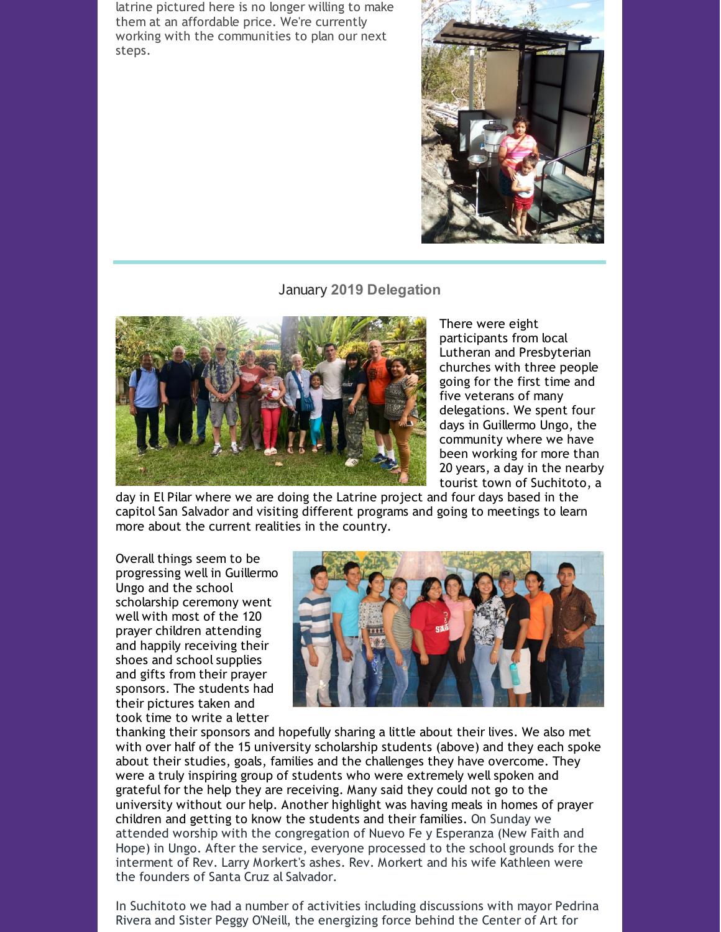latrine pictured here is no longer willing to make them at an affordable price. We're currently working with the communities to plan our next steps.



#### January **2019 Delegation**



There were eight participants from local Lutheran and Presbyterian churches with three people going for the first time and five veterans of many delegations. We spent four days in Guillermo Ungo, the community where we have been working for more than 20 years, a day in the nearby tourist town of Suchitoto, a

day in El Pilar where we are doing the Latrine project and four days based in the capitol San Salvador and visiting different programs and going to meetings to learn more about the current realities in the country.

Overall things seem to be progressing well in Guillermo Ungo and the school scholarship ceremony went well with most of the 120 prayer children attending and happily receiving their shoes and school supplies and gifts from their prayer sponsors. The students had their pictures taken and took time to write a letter



thanking their sponsors and hopefully sharing a little about their lives. We also met with over half of the 15 university scholarship students (above) and they each spoke about their studies, goals, families and the challenges they have overcome. They were a truly inspiring group of students who were extremely well spoken and grateful for the help they are receiving. Many said they could not go to the university without our help. Another highlight was having meals in homes of prayer children and getting to know the students and their families. On Sunday we attended worship with the congregation of Nuevo Fe y Esperanza (New Faith and Hope) in Ungo. After the service, everyone processed to the school grounds for the interment of Rev. Larry Morkert's ashes. Rev. Morkert and his wife Kathleen were the founders of Santa Cruz al Salvador.

In Suchitoto we had a number of activities including discussions with mayor Pedrina Rivera and Sister Peggy O'Neill, the energizing force behind the Center of Art for